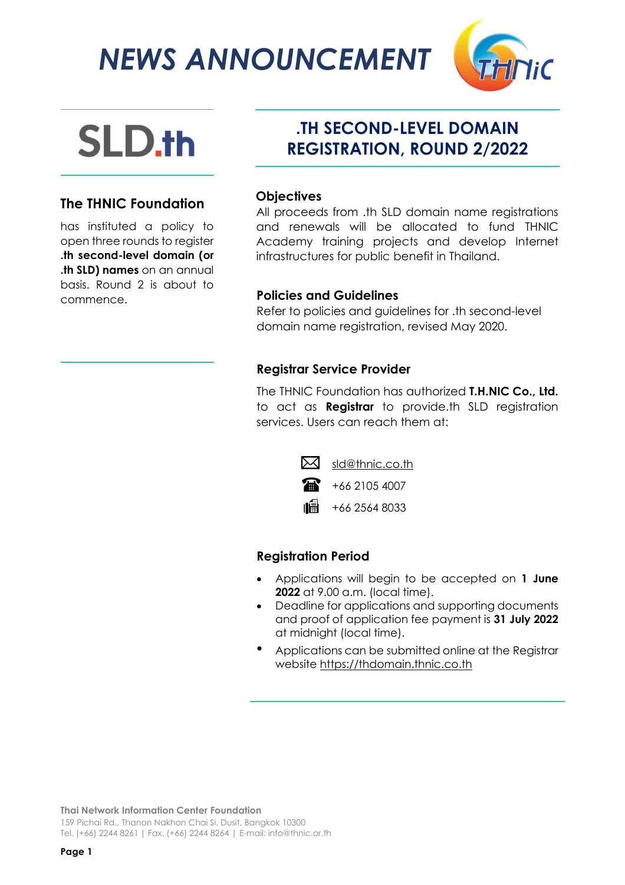*NEWS ANNOUNCEMENT*



# APLICATION ALL **AND RESULT**

## **The THNIC Foundation**

has instituted a policy to open three rounds to register **.th second-level domain (or .th SLD) names** on an annual basis. Round 2 is about to commence.

## **.TH SECOND-LEVEL DOMAIN REGISTRATION, ROUND 2/2022**

#### **Objectives**

All proceeds from .th SLD domain name registrations and renewals will be allocated to fund THNIC Academy training projects and develop Internet infrastructures for public benefit in Thailand.

#### **Policies and Guidelines**

Refer to policies and guidelines for .th second-level domain name registration, revised May 2020.

#### **Registrar Service Provider**

The THNIC Foundation has authorized **T.H.NIC Co., Ltd.** to act as **Registrar** to provide.th SLD registration services. Users can reach them at:



### **Registration Period**

- Applications will begin to be accepted on **1 June 2022** at 9.00 a.m. (local time).
- Deadline for applications and supporting documents and proof of application fee payment is **31 July 2022** at midnight (local time).
- Applications can be submitted online at the Registrar website [https://thdomain.thnic.co.th](https://thdomain.thnic.co.th/)